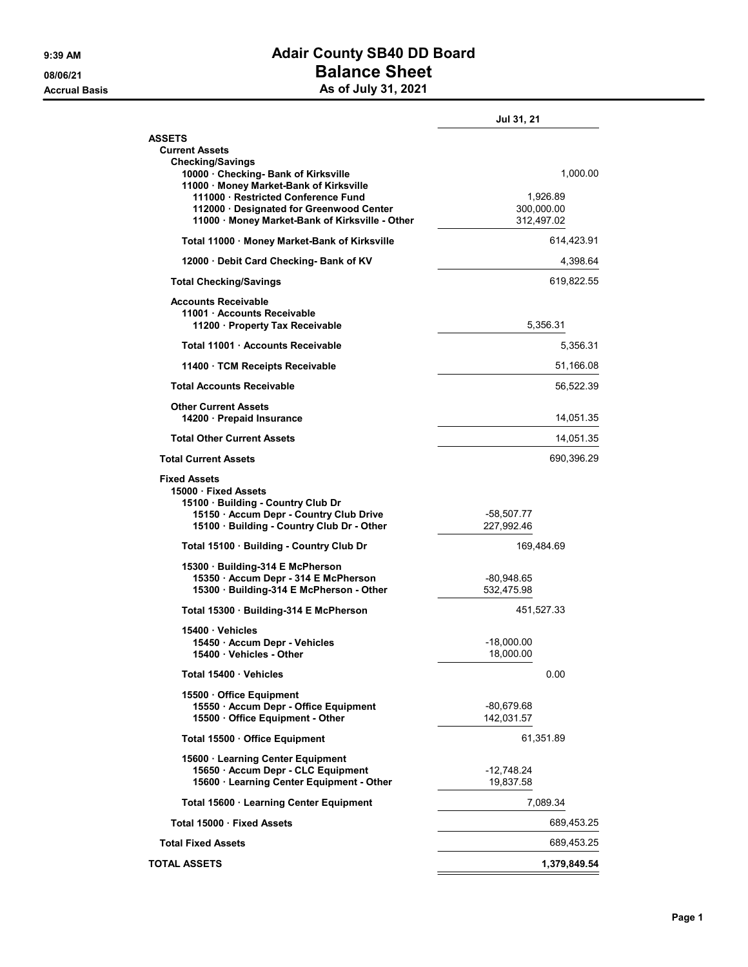## 9:39 AM **Adair County SB40 DD Board** 08/06/21 Balance Sheet Accrual Basis **Accrual Basis** As of July 31, 2021

|                                                                                                                                                                             | Jul 31, 21                           |
|-----------------------------------------------------------------------------------------------------------------------------------------------------------------------------|--------------------------------------|
| <b>ASSETS</b><br><b>Current Assets</b><br><b>Checking/Savings</b><br>10000 Checking- Bank of Kirksville                                                                     | 1,000.00                             |
| 11000 · Money Market-Bank of Kirksville<br>111000 Restricted Conference Fund<br>112000 · Designated for Greenwood Center<br>11000 · Money Market-Bank of Kirksville - Other | 1,926.89<br>300,000.00<br>312,497.02 |
| Total 11000 · Money Market-Bank of Kirksville                                                                                                                               | 614,423.91                           |
| 12000 Debit Card Checking- Bank of KV                                                                                                                                       | 4,398.64                             |
| <b>Total Checking/Savings</b>                                                                                                                                               | 619,822.55                           |
| <b>Accounts Receivable</b><br>11001 Accounts Receivable<br>11200 Property Tax Receivable                                                                                    | 5,356.31                             |
| Total 11001 Accounts Receivable                                                                                                                                             | 5,356.31                             |
| 11400 TCM Receipts Receivable                                                                                                                                               | 51,166.08                            |
| <b>Total Accounts Receivable</b>                                                                                                                                            | 56,522.39                            |
| <b>Other Current Assets</b><br>14200 · Prepaid Insurance                                                                                                                    | 14,051.35                            |
| <b>Total Other Current Assets</b>                                                                                                                                           | 14,051.35                            |
| <b>Total Current Assets</b>                                                                                                                                                 | 690,396.29                           |
| <b>Fixed Assets</b><br>15000 Fixed Assets<br>15100 Building - Country Club Dr<br>15150 · Accum Depr - Country Club Drive<br>15100 · Building - Country Club Dr - Other      | -58,507.77<br>227,992.46             |
| Total 15100 · Building - Country Club Dr                                                                                                                                    | 169,484.69                           |
| 15300 · Building-314 E McPherson                                                                                                                                            |                                      |
| 15350 · Accum Depr - 314 E McPherson<br>15300 · Building-314 E McPherson - Other                                                                                            | -80,948.65<br>532,475.98             |
| Total 15300 · Building-314 E McPherson                                                                                                                                      | 451,527.33                           |
| 15400 Vehicles<br>15450 Accum Depr - Vehicles<br>15400 · Vehicles - Other                                                                                                   | $-18,000.00$<br>18,000.00            |
| Total 15400 Vehicles                                                                                                                                                        | 0.00                                 |
| 15500 Office Equipment<br>15550 · Accum Depr - Office Equipment<br>15500 Office Equipment - Other                                                                           | -80,679.68<br>142,031.57             |
| Total 15500 · Office Equipment                                                                                                                                              | 61,351.89                            |
| 15600 · Learning Center Equipment<br>15650 · Accum Depr - CLC Equipment<br>15600 · Learning Center Equipment - Other                                                        | -12,748.24<br>19,837.58              |
| Total 15600 · Learning Center Equipment                                                                                                                                     | 7,089.34                             |
| Total 15000 · Fixed Assets                                                                                                                                                  | 689,453.25                           |
| <b>Total Fixed Assets</b>                                                                                                                                                   | 689,453.25                           |
| <b>TOTAL ASSETS</b>                                                                                                                                                         | 1,379,849.54                         |